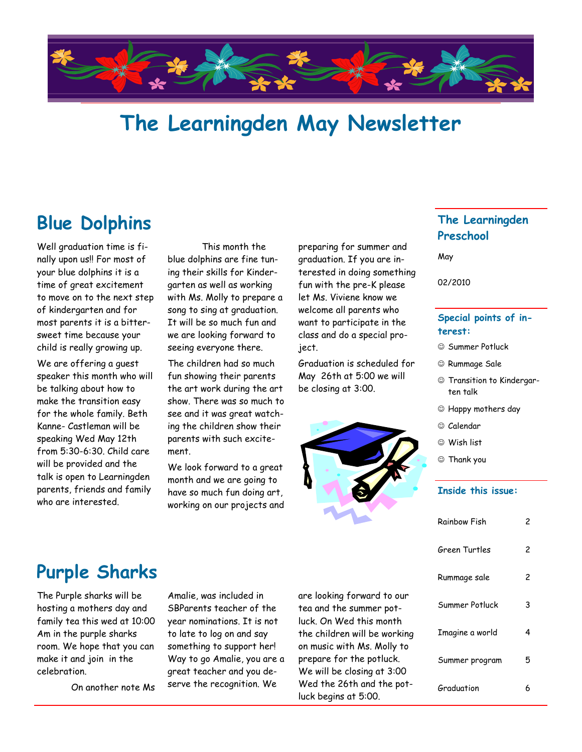

# **The Learningden May Newsletter**

### **Blue Dolphins**

Well graduation time is finally upon us!! For most of your blue dolphins it is a time of great excitement to move on to the next step of kindergarten and for most parents it is a bittersweet time because your child is really growing up.

We are offering a guest speaker this month who will be talking about how to make the transition easy for the whole family. Beth Kanne- Castleman will be speaking Wed May 12th from 5:30-6:30. Child care will be provided and the talk is open to Learningden parents, friends and family who are interested.

This month the blue dolphins are fine tuning their skills for Kindergarten as well as working with Ms. Molly to prepare a song to sing at graduation. It will be so much fun and we are looking forward to seeing everyone there.

The children had so much fun showing their parents the art work during the art show. There was so much to see and it was great watching the children show their parents with such excitement.

We look forward to a great month and we are going to have so much fun doing art, working on our projects and

preparing for summer and graduation. If you are interested in doing something fun with the pre-K please let Ms. Viviene know we welcome all parents who want to participate in the class and do a special project.

Graduation is scheduled for May 26th at 5:00 we will be closing at 3:00.



#### **The Learningden Preschool**

May

02/2010

#### **Special points of interest:**

- $\odot$  Summer Potluck
- Rummage Sale
- Transition to Kindergarten talk
- Happy mothers day
- © Calendar
- Wish list
- Thank you

#### **Inside this issue:**

| Rainbow Fish    | 2 |
|-----------------|---|
| Green Turtles   | 2 |
| Rummage sale    | 2 |
| Summer Potluck  | 3 |
| Imagine a world | 4 |
| Summer program  | 5 |
| Graduation      | 6 |

## **Purple Sharks**

The Purple sharks will be hosting a mothers day and family tea this wed at 10:00 Am in the purple sharks room. We hope that you can make it and join in the celebration.

On another note Ms

Amalie, was included in SBParents teacher of the year nominations. It is not to late to log on and say something to support her! Way to go Amalie, you are a great teacher and you deserve the recognition. We

are looking forward to our tea and the summer potluck. On Wed this month the children will be working on music with Ms. Molly to prepare for the potluck. We will be closing at 3:00 Wed the 26th and the potluck begins at 5:00.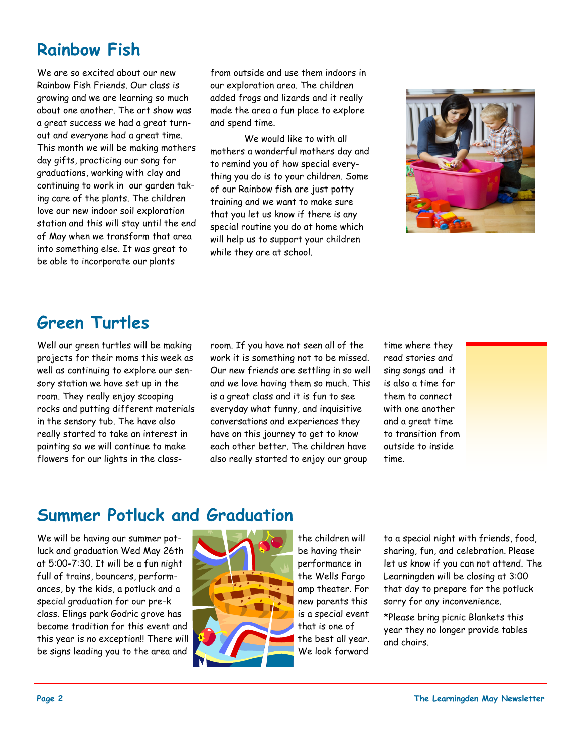## **Rainbow Fish**

We are so excited about our new Rainbow Fish Friends. Our class is growing and we are learning so much about one another. The art show was a great success we had a great turnout and everyone had a great time. This month we will be making mothers day gifts, practicing our song for graduations, working with clay and continuing to work in our garden taking care of the plants. The children love our new indoor soil exploration station and this will stay until the end of May when we transform that area into something else. It was great to be able to incorporate our plants

from outside and use them indoors in our exploration area. The children added frogs and lizards and it really made the area a fun place to explore and spend time.

We would like to with all mothers a wonderful mothers day and to remind you of how special everything you do is to your children. Some of our Rainbow fish are just potty training and we want to make sure that you let us know if there is any special routine you do at home which will help us to support your children while they are at school.



### **Green Turtles**

Well our green turtles will be making projects for their moms this week as well as continuing to explore our sensory station we have set up in the room. They really enjoy scooping rocks and putting different materials in the sensory tub. The have also really started to take an interest in painting so we will continue to make flowers for our lights in the classroom. If you have not seen all of the work it is something not to be missed. Our new friends are settling in so well and we love having them so much. This is a great class and it is fun to see everyday what funny, and inquisitive conversations and experiences they have on this journey to get to know each other better. The children have also really started to enjoy our group

time where they read stories and sing songs and it is also a time for them to connect with one another and a great time to transition from outside to inside time.

#### **Summer Potluck and Graduation**

We will be having our summer potluck and graduation Wed May 26th at 5:00-7:30. It will be a fun night full of trains, bouncers, performances, by the kids, a potluck and a special graduation for our pre-k class. Elings park Godric grove has become tradition for this event and this year is no exception!! There will be signs leading you to the area and



the children will be having their performance in the Wells Fargo amp theater. For new parents this is a special event that is one of the best all year. We look forward

to a special night with friends, food, sharing, fun, and celebration. Please let us know if you can not attend. The Learningden will be closing at 3:00 that day to prepare for the potluck sorry for any inconvenience.

\*Please bring picnic Blankets this year they no longer provide tables and chairs.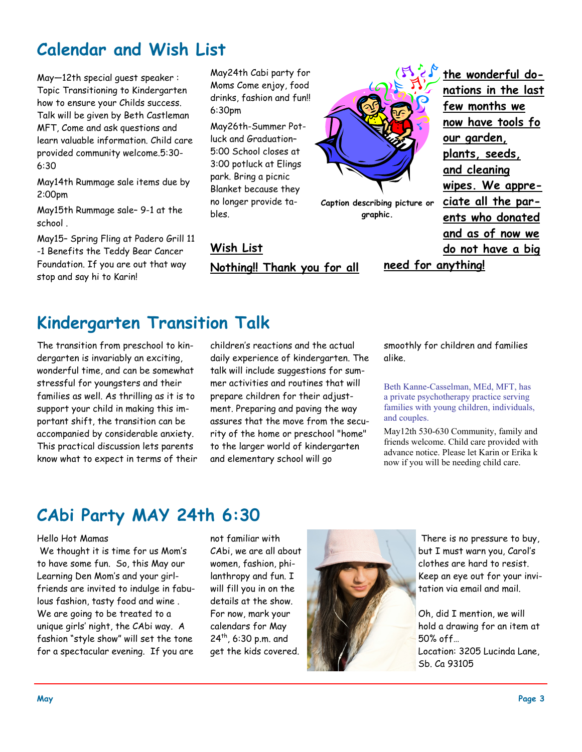## **Calendar and Wish List**

May—12th special guest speaker : Topic Transitioning to Kindergarten how to ensure your Childs success. Talk will be given by Beth Castleman MFT, Come and ask questions and learn valuable information. Child care provided community welcome.5:30- 6:30

May14th Rummage sale items due by 2:00pm

May15th Rummage sale– 9-1 at the school .

May15– Spring Fling at Padero Grill 11 -1 Benefits the Teddy Bear Cancer Foundation. If you are out that way stop and say hi to Karin!

May24th Cabi party for Moms Come enjoy, food drinks, fashion and fun!! 6:30pm

May26th-Summer Potluck and Graduation– 5:00 School closes at 3:00 potluck at Elings park. Bring a picnic Blanket because they no longer provide tables.

**Wish List Nothing!! Thank you for all** 



**Caption describing picture or graphic.**

**the wonderful donations in the last few months we now have tools fo our garden, plants, seeds, and cleaning wipes. We appreciate all the parents who donated and as of now we do not have a big** 

**need for anything!** 

### **Kindergarten Transition Talk**

The transition from preschool to kindergarten is invariably an exciting, wonderful time, and can be somewhat stressful for youngsters and their families as well. As thrilling as it is to support your child in making this important shift, the transition can be accompanied by considerable anxiety. This practical discussion lets parents know what to expect in terms of their children's reactions and the actual daily experience of kindergarten. The talk will include suggestions for summer activities and routines that will prepare children for their adjustment. Preparing and paving the way assures that the move from the security of the home or preschool "home" to the larger world of kindergarten and elementary school will go

smoothly for children and families alike.

Beth Kanne-Casselman, MEd, MFT, has a private psychotherapy practice serving families with young children, individuals, and couples.

May12th 530-630 Community, family and friends welcome. Child care provided with advance notice. Please let Karin or Erika k now if you will be needing child care.

#### **CAbi Party MAY 24th 6:30**

#### Hello Hot Mamas

We thought it is time for us Mom's to have some fun. So, this May our Learning Den Mom's and your girlfriends are invited to indulge in fabulous fashion, tasty food and wine . We are going to be treated to a unique girls' night, the CAbi way. A fashion "style show" will set the tone for a spectacular evening. If you are

not familiar with CAbi, we are all about women, fashion, philanthropy and fun. I will fill you in on the details at the show. For now, mark your calendars for May  $24^{th}$ , 6:30 p.m. and get the kids covered.



There is no pressure to buy, but I must warn you, Carol's clothes are hard to resist. Keep an eye out for your invitation via email and mail.

Oh, did I mention, we will hold a drawing for an item at 50% off… Location: 3205 Lucinda Lane, Sb. Ca 93105